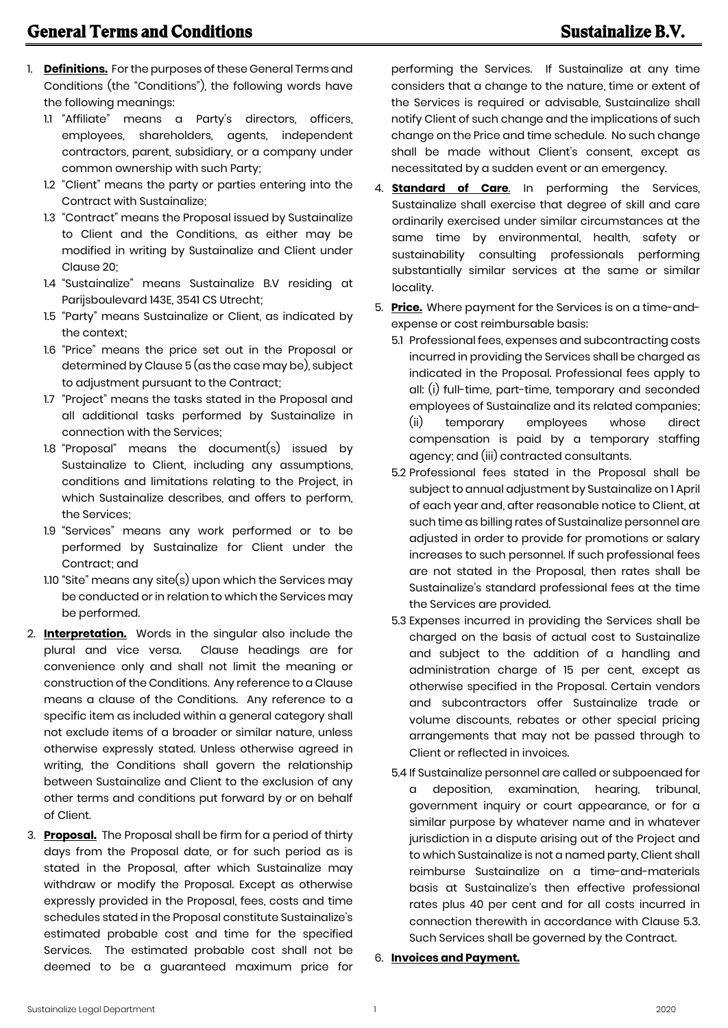- 1. **Definitions.** For the purposes of these General Terms and Conditions (the "Conditions"), the following words have the following meanings:
	- 1.1 "Affiliate" means a Party's directors, officers, employees, shareholders, agents, independent contractors, parent, subsidiary, or a company under common ownership with such Party;
	- 1.2 "Client" means the party or parties entering into the Contract with Sustainalize;
	- 1.3 "Contract" means the Proposal issued by Sustainalize to Client and the Conditions, as either may be modified in writing by Sustainalize and Client under Clause 20;
	- 1.4 "Sustainalize" means Sustainalize B.V residing at Parijsboulevard 143E, 3541 CS Utrecht;
	- 1.5 "Party" means Sustainalize or Client, as indicated by the context;
	- 1.6 "Price" means the price set out in the Proposal or determined by Clause 5 (as the case may be), subject to adjustment pursuant to the Contract;
	- 1.7 "Project" means the tasks stated in the Proposal and all additional tasks performed by Sustainalize in connection with the Services;
	- 1.8 "Proposal" means the document(s) issued by Sustainalize to Client, including any assumptions, conditions and limitations relating to the Project, in which Sustainalize describes, and offers to perform, the Services;
	- 1.9 "Services" means any work performed or to be performed by Sustainalize for Client under the Contract; and
	- 1.10 "Site" means any site(s) upon which the Services may be conducted or in relation to which the Services may be performed.
- 2. **Interpretation.** Words in the singular also include the plural and vice versa. Clause headings are for convenience only and shall not limit the meaning or construction of the Conditions. Any reference to a Clause means a clause of the Conditions. Any reference to a specific item as included within a general category shall not exclude items of a broader or similar nature, unless otherwise expressly stated. Unless otherwise agreed in writing, the Conditions shall govern the relationship between Sustainalize and Client to the exclusion of any other terms and conditions put forward by or on behalf of Client.
- 3. **Proposal.** The Proposal shall be firm for a period of thirty days from the Proposal date, or for such period as is stated in the Proposal, after which Sustainalize may withdraw or modify the Proposal. Except as otherwise expressly provided in the Proposal, fees, costs and time schedules stated in the Proposal constitute Sustainalize's estimated probable cost and time for the specified Services. The estimated probable cost shall not be deemed to be a guaranteed maximum price for

performing the Services. If Sustainalize at any time considers that a change to the nature, time or extent of the Services is required or advisable, Sustainalize shall notify Client of such change and the implications of such change on the Price and time schedule. No such change shall be made without Client's consent, except as necessitated by a sudden event or an emergency.

- 4. **Standard of Care**. In performing the Services, Sustainalize shall exercise that degree of skill and care ordinarily exercised under similar circumstances at the same time by environmental, health, safety or sustainability consulting professionals performing substantially similar services at the same or similar locality.
- 5. **Price.** Where payment for the Services is on a time-andexpense or cost reimbursable basis:
	- 5.1 Professional fees, expenses and subcontracting costs incurred in providing the Services shall be charged as indicated in the Proposal. Professional fees apply to all: (i) full-time, part-time, temporary and seconded employees of Sustainalize and its related companies; (ii) temporary employees whose direct compensation is paid by a temporary staffing agency; and (iii) contracted consultants.
	- 5.2 Professional fees stated in the Proposal shall be subject to annual adjustment by Sustainalize on 1 April of each year and, after reasonable notice to Client, at such time as billing rates of Sustainalize personnel are adjusted in order to provide for promotions or salary increases to such personnel. If such professional fees are not stated in the Proposal, then rates shall be Sustainalize's standard professional fees at the time the Services are provided.
	- 5.3 Expenses incurred in providing the Services shall be charged on the basis of actual cost to Sustainalize and subject to the addition of a handling and administration charge of 15 per cent, except as otherwise specified in the Proposal. Certain vendors and subcontractors offer Sustainalize trade or volume discounts, rebates or other special pricing arrangements that may not be passed through to Client or reflected in invoices.
	- 5.4 If Sustainalize personnel are called or subpoenaed for a deposition, examination, hearing, tribunal, government inquiry or court appearance, or for a similar purpose by whatever name and in whatever jurisdiction in a dispute arising out of the Project and to which Sustainalize is not a named party, Client shall reimburse Sustainalize on a time-and-materials basis at Sustainalize's then effective professional rates plus 40 per cent and for all costs incurred in connection therewith in accordance with Clause 5.3. Such Services shall be governed by the Contract.
- 6. **Invoices and Payment.**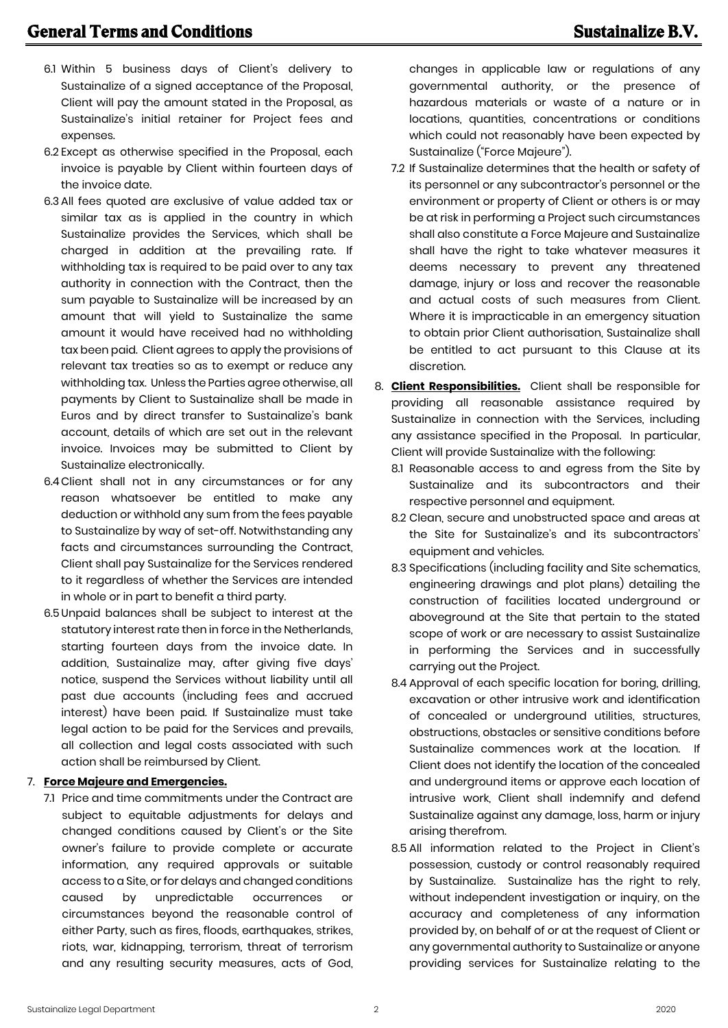- 6.1 Within 5 business days of Client's delivery to Sustainalize of a signed acceptance of the Proposal, Client will pay the amount stated in the Proposal, as Sustainalize's initial retainer for Project fees and expenses.
- 6.2 Except as otherwise specified in the Proposal, each invoice is payable by Client within fourteen days of the invoice date.
- 6.3 All fees quoted are exclusive of value added tax or similar tax as is applied in the country in which Sustainalize provides the Services, which shall be charged in addition at the prevailing rate. If withholding tax is required to be paid over to any tax authority in connection with the Contract, then the sum payable to Sustainalize will be increased by an amount that will yield to Sustainalize the same amount it would have received had no withholding tax been paid. Client agrees to apply the provisions of relevant tax treaties so as to exempt or reduce any withholding tax. Unless the Parties agree otherwise, all payments by Client to Sustainalize shall be made in Euros and by direct transfer to Sustainalize's bank account, details of which are set out in the relevant invoice. Invoices may be submitted to Client by Sustainalize electronically.
- 6.4Client shall not in any circumstances or for any reason whatsoever be entitled to make any deduction or withhold any sum from the fees payable to Sustainalize by way of set-off. Notwithstanding any facts and circumstances surrounding the Contract, Client shall pay Sustainalize for the Services rendered to it regardless of whether the Services are intended in whole or in part to benefit a third party.
- 6.5Unpaid balances shall be subject to interest at the statutory interest rate then in force in the Netherlands, starting fourteen days from the invoice date. In addition, Sustainalize may, after giving five days' notice, suspend the Services without liability until all past due accounts (including fees and accrued interest) have been paid. If Sustainalize must take legal action to be paid for the Services and prevails, all collection and legal costs associated with such action shall be reimbursed by Client.

## 7. **Force Majeure and Emergencies.**

7.1 Price and time commitments under the Contract are subject to equitable adjustments for delays and changed conditions caused by Client's or the Site owner's failure to provide complete or accurate information, any required approvals or suitable access to a Site, or for delays and changed conditions caused by unpredictable occurrences or circumstances beyond the reasonable control of either Party, such as fires, floods, earthquakes, strikes, riots, war, kidnapping, terrorism, threat of terrorism and any resulting security measures, acts of God, changes in applicable law or regulations of any governmental authority, or the presence of hazardous materials or waste of a nature or in locations, quantities, concentrations or conditions which could not reasonably have been expected by Sustainalize ("Force Majeure").

- 7.2 If Sustainalize determines that the health or safety of its personnel or any subcontractor's personnel or the environment or property of Client or others is or may be at risk in performing a Project such circumstances shall also constitute a Force Majeure and Sustainalize shall have the right to take whatever measures it deems necessary to prevent any threatened damage, injury or loss and recover the reasonable and actual costs of such measures from Client. Where it is impracticable in an emergency situation to obtain prior Client authorisation, Sustainalize shall be entitled to act pursuant to this Clause at its discretion.
- 8. **Client Responsibilities.** Client shall be responsible for providing all reasonable assistance required by Sustainalize in connection with the Services, including any assistance specified in the Proposal. In particular, Client will provide Sustainalize with the following:
	- 8.1 Reasonable access to and egress from the Site by Sustainalize and its subcontractors and their respective personnel and equipment.
	- 8.2 Clean, secure and unobstructed space and areas at the Site for Sustainalize's and its subcontractors' equipment and vehicles.
	- 8.3 Specifications (including facility and Site schematics, engineering drawings and plot plans) detailing the construction of facilities located underground or aboveground at the Site that pertain to the stated scope of work or are necessary to assist Sustainalize in performing the Services and in successfully carrying out the Project.
	- 8.4 Approval of each specific location for boring, drilling, excavation or other intrusive work and identification of concealed or underground utilities, structures, obstructions, obstacles or sensitive conditions before Sustainalize commences work at the location. If Client does not identify the location of the concealed and underground items or approve each location of intrusive work, Client shall indemnify and defend Sustainalize against any damage, loss, harm or injury arising therefrom.
	- 8.5 All information related to the Project in Client's possession, custody or control reasonably required by Sustainalize. Sustainalize has the right to rely, without independent investigation or inquiry, on the accuracy and completeness of any information provided by, on behalf of or at the request of Client or any governmental authority to Sustainalize or anyone providing services for Sustainalize relating to the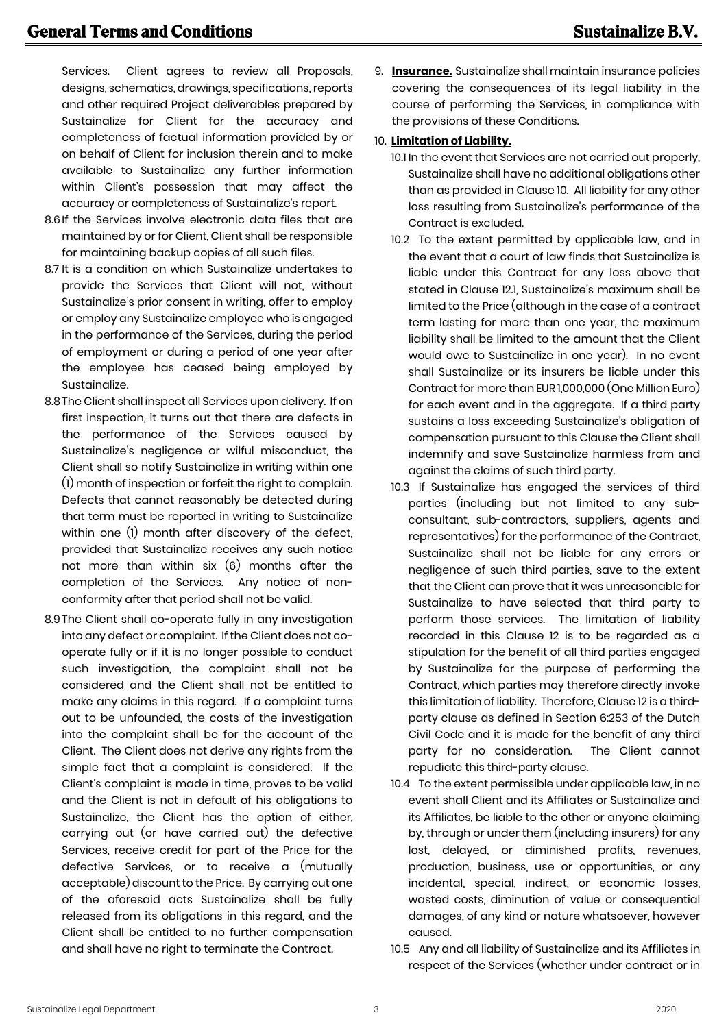Services. Client agrees to review all Proposals, designs, schematics, drawings, specifications, reports and other required Project deliverables prepared by Sustainalize for Client for the accuracy and completeness of factual information provided by or on behalf of Client for inclusion therein and to make available to Sustainalize any further information within Client's possession that may affect the accuracy or completeness of Sustainalize's report.

- 8.6If the Services involve electronic data files that are maintained by or for Client, Client shall be responsible for maintaining backup copies of all such files.
- 8.7 It is a condition on which Sustainalize undertakes to provide the Services that Client will not, without Sustainalize's prior consent in writing, offer to employ or employ any Sustainalize employee who is engaged in the performance of the Services, during the period of employment or during a period of one year after the employee has ceased being employed by Sustainalize.
- 8.8The Client shall inspect all Services upon delivery. If on first inspection, it turns out that there are defects in the performance of the Services caused by Sustainalize's negligence or wilful misconduct, the Client shall so notify Sustainalize in writing within one (1) month of inspection or forfeit the right to complain. Defects that cannot reasonably be detected during that term must be reported in writing to Sustainalize within one (1) month after discovery of the defect, provided that Sustainalize receives any such notice not more than within six (6) months after the completion of the Services. Any notice of nonconformity after that period shall not be valid.
- 8.9 The Client shall co-operate fully in any investigation into any defect or complaint. If the Client does not cooperate fully or if it is no longer possible to conduct such investigation, the complaint shall not be considered and the Client shall not be entitled to make any claims in this regard. If a complaint turns out to be unfounded, the costs of the investigation into the complaint shall be for the account of the Client. The Client does not derive any rights from the simple fact that a complaint is considered. If the Client's complaint is made in time, proves to be valid and the Client is not in default of his obligations to Sustainalize, the Client has the option of either, carrying out (or have carried out) the defective Services, receive credit for part of the Price for the defective Services, or to receive a (mutually acceptable) discount to the Price. By carrying out one of the aforesaid acts Sustainalize shall be fully released from its obligations in this regard, and the Client shall be entitled to no further compensation and shall have no right to terminate the Contract.

9. **Insurance.** Sustainalize shall maintain insurance policies covering the consequences of its legal liability in the course of performing the Services, in compliance with the provisions of these Conditions.

## 10. **Limitation of Liability.**

- 10.1 In the event that Services are not carried out properly, Sustainalize shall have no additional obligations other than as provided in Clause 10. All liability for any other loss resulting from Sustainalize's performance of the Contract is excluded.
- 10.2 To the extent permitted by applicable law, and in the event that a court of law finds that Sustainalize is liable under this Contract for any loss above that stated in Clause 12.1, Sustainalize's maximum shall be limited to the Price (although in the case of a contract term lasting for more than one year, the maximum liability shall be limited to the amount that the Client would owe to Sustainalize in one year). In no event shall Sustainalize or its insurers be liable under this Contract for more than EUR 1,000,000 (One Million Euro) for each event and in the aggregate. If a third party sustains a loss exceeding Sustainalize's obligation of compensation pursuant to this Clause the Client shall indemnify and save Sustainalize harmless from and against the claims of such third party.
- 10.3 If Sustainalize has engaged the services of third parties (including but not limited to any subconsultant, sub-contractors, suppliers, agents and representatives) for the performance of the Contract, Sustainalize shall not be liable for any errors or negligence of such third parties, save to the extent that the Client can prove that it was unreasonable for Sustainalize to have selected that third party to perform those services. The limitation of liability recorded in this Clause 12 is to be regarded as a stipulation for the benefit of all third parties engaged by Sustainalize for the purpose of performing the Contract, which parties may therefore directly invoke this limitation of liability. Therefore, Clause 12 is a thirdparty clause as defined in Section 6:253 of the Dutch Civil Code and it is made for the benefit of any third party for no consideration. The Client cannot repudiate this third-party clause.
- 10.4 To the extent permissible under applicable law, in no event shall Client and its Affiliates or Sustainalize and its Affiliates, be liable to the other or anyone claiming by, through or under them (including insurers) for any lost, delayed, or diminished profits, revenues, production, business, use or opportunities, or any incidental, special, indirect, or economic losses, wasted costs, diminution of value or consequential damages, of any kind or nature whatsoever, however caused.
- 10.5 Any and all liability of Sustainalize and its Affiliates in respect of the Services (whether under contract or in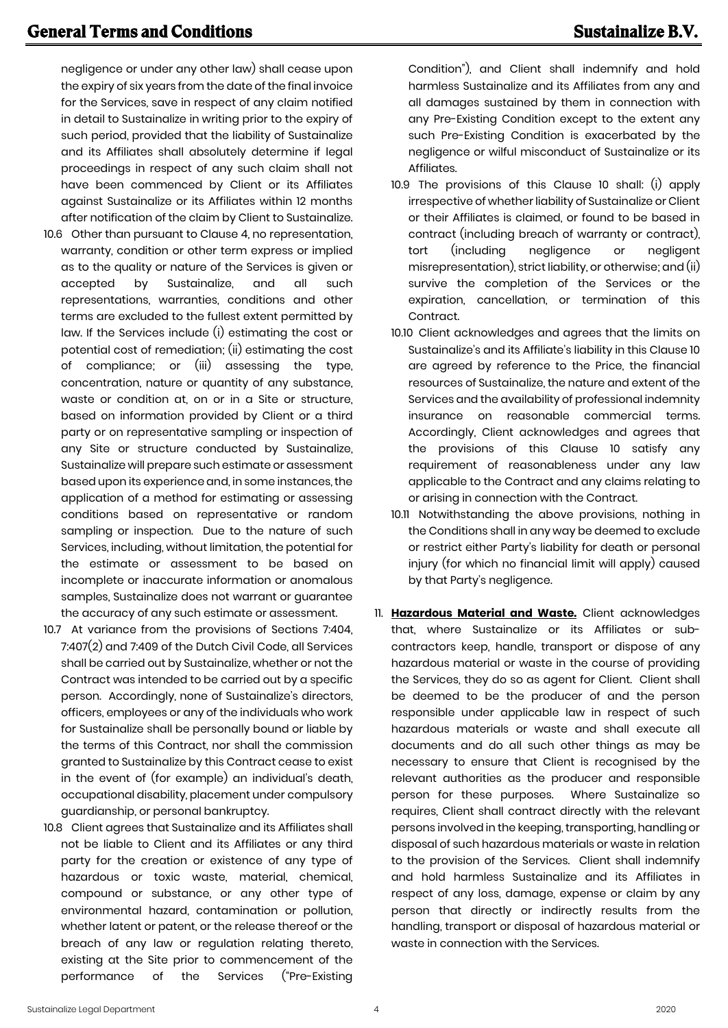negligence or under any other law) shall cease upon the expiry of six years from the date of the final invoice for the Services, save in respect of any claim notified in detail to Sustainalize in writing prior to the expiry of such period, provided that the liability of Sustainalize and its Affiliates shall absolutely determine if legal proceedings in respect of any such claim shall not have been commenced by Client or its Affiliates against Sustainalize or its Affiliates within 12 months after notification of the claim by Client to Sustainalize.

- 10.6 Other than pursuant to Clause 4, no representation, warranty, condition or other term express or implied as to the quality or nature of the Services is given or accepted by Sustainalize, and all such representations, warranties, conditions and other terms are excluded to the fullest extent permitted by law. If the Services include (i) estimating the cost or potential cost of remediation; (ii) estimating the cost of compliance; or (iii) assessing the type, concentration, nature or quantity of any substance, waste or condition at, on or in a Site or structure, based on information provided by Client or a third party or on representative sampling or inspection of any Site or structure conducted by Sustainalize, Sustainalize will prepare such estimate or assessment based upon its experience and, in some instances, the application of a method for estimating or assessing conditions based on representative or random sampling or inspection. Due to the nature of such Services, including, without limitation, the potential for the estimate or assessment to be based on incomplete or inaccurate information or anomalous samples, Sustainalize does not warrant or guarantee the accuracy of any such estimate or assessment.
- 10.7 At variance from the provisions of Sections 7:404, 7:407(2) and 7:409 of the Dutch Civil Code, all Services shall be carried out by Sustainalize, whether or not the Contract was intended to be carried out by a specific person. Accordingly, none of Sustainalize's directors, officers, employees or any of the individuals who work for Sustainalize shall be personally bound or liable by the terms of this Contract, nor shall the commission granted to Sustainalize by this Contract cease to exist in the event of (for example) an individual's death, occupational disability, placement under compulsory guardianship, or personal bankruptcy.
- 10.8 Client agrees that Sustainalize and its Affiliates shall not be liable to Client and its Affiliates or any third party for the creation or existence of any type of hazardous or toxic waste, material, chemical, compound or substance, or any other type of environmental hazard, contamination or pollution, whether latent or patent, or the release thereof or the breach of any law or regulation relating thereto, existing at the Site prior to commencement of the performance of the Services ("Pre-Existing

Condition"), and Client shall indemnify and hold harmless Sustainalize and its Affiliates from any and all damages sustained by them in connection with any Pre-Existing Condition except to the extent any such Pre-Existing Condition is exacerbated by the negligence or wilful misconduct of Sustainalize or its Affiliates.

- 10.9 The provisions of this Clause 10 shall: (i) apply irrespective of whether liability of Sustainalize or Client or their Affiliates is claimed, or found to be based in contract (including breach of warranty or contract), tort (including negligence or negligent misrepresentation), strict liability, or otherwise; and (ii) survive the completion of the Services or the expiration, cancellation, or termination of this Contract.
- 10.10 Client acknowledges and agrees that the limits on Sustainalize's and its Affiliate's liability in this Clause 10 are agreed by reference to the Price, the financial resources of Sustainalize, the nature and extent of the Services and the availability of professional indemnity insurance on reasonable commercial terms. Accordingly, Client acknowledges and agrees that the provisions of this Clause 10 satisfy any requirement of reasonableness under any law applicable to the Contract and any claims relating to or arising in connection with the Contract.
- 10.11 Notwithstanding the above provisions, nothing in the Conditions shall in any way be deemed to exclude or restrict either Party's liability for death or personal injury (for which no financial limit will apply) caused by that Party's negligence.
- 11. **Hazardous Material and Waste.** Client acknowledges that, where Sustainalize or its Affiliates or subcontractors keep, handle, transport or dispose of any hazardous material or waste in the course of providing the Services, they do so as agent for Client. Client shall be deemed to be the producer of and the person responsible under applicable law in respect of such hazardous materials or waste and shall execute all documents and do all such other things as may be necessary to ensure that Client is recognised by the relevant authorities as the producer and responsible person for these purposes. Where Sustainalize so requires, Client shall contract directly with the relevant persons involved in the keeping, transporting, handling or disposal of such hazardous materials or waste in relation to the provision of the Services. Client shall indemnify and hold harmless Sustainalize and its Affiliates in respect of any loss, damage, expense or claim by any person that directly or indirectly results from the handling, transport or disposal of hazardous material or waste in connection with the Services.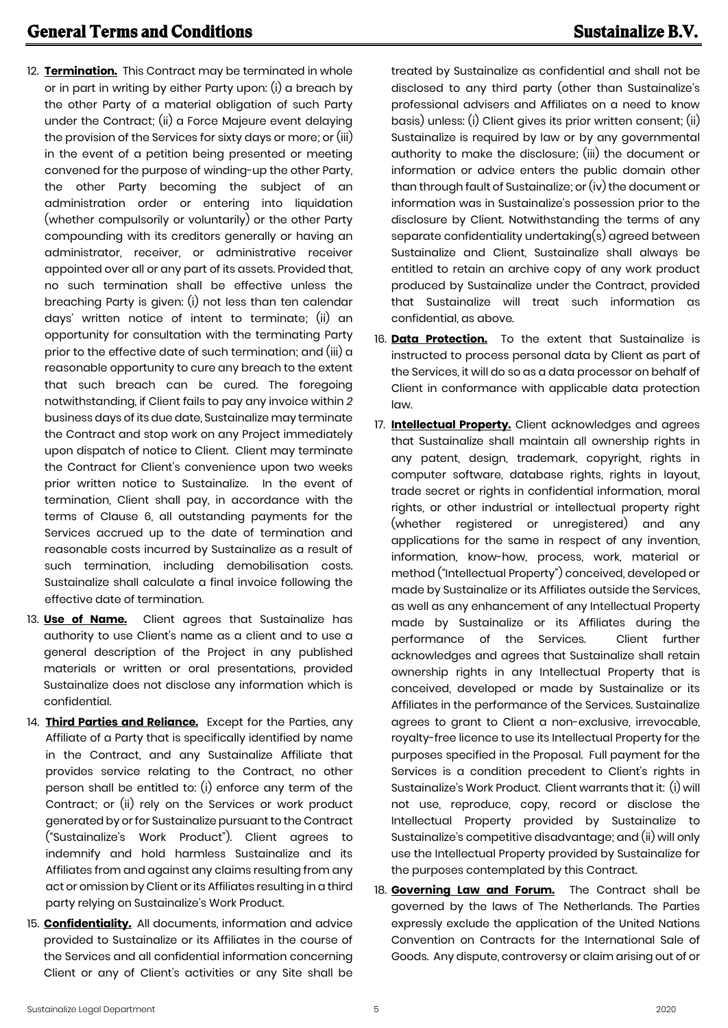- 12. **Termination.** This Contract may be terminated in whole or in part in writing by either Party upon: (i) a breach by the other Party of a material obligation of such Party under the Contract; (ii) a Force Majeure event delaying the provision of the Services for sixty days or more; or (iii) in the event of a petition being presented or meeting convened for the purpose of winding-up the other Party, the other Party becoming the subject of an administration order or entering into liquidation (whether compulsorily or voluntarily) or the other Party compounding with its creditors generally or having an administrator, receiver, or administrative receiver appointed over all or any part of its assets. Provided that, no such termination shall be effective unless the breaching Party is given: (i) not less than ten calendar days' written notice of intent to terminate; (ii) an opportunity for consultation with the terminating Party prior to the effective date of such termination; and (iii) a reasonable opportunity to cure any breach to the extent that such breach can be cured. The foregoing notwithstanding, if Client fails to pay any invoice within *2* business days of its due date, Sustainalize may terminate the Contract and stop work on any Project immediately upon dispatch of notice to Client. Client may terminate the Contract for Client's convenience upon two weeks prior written notice to Sustainalize. In the event of termination, Client shall pay, in accordance with the terms of Clause 6, all outstanding payments for the Services accrued up to the date of termination and reasonable costs incurred by Sustainalize as a result of such termination, including demobilisation costs. Sustainalize shall calculate a final invoice following the effective date of termination.
- 13. **Use of Name.** Client agrees that Sustainalize has authority to use Client's name as a client and to use a general description of the Project in any published materials or written or oral presentations, provided Sustainalize does not disclose any information which is confidential.
- 14. **Third Parties and Reliance.** Except for the Parties, any Affiliate of a Party that is specifically identified by name in the Contract, and any Sustainalize Affiliate that provides service relating to the Contract, no other person shall be entitled to: (i) enforce any term of the Contract; or (ii) rely on the Services or work product generated by or for Sustainalize pursuant to the Contract ("Sustainalize's Work Product"). Client agrees to indemnify and hold harmless Sustainalize and its Affiliates from and against any claims resulting from any act or omission by Client or its Affiliates resulting in a third party relying on Sustainalize's Work Product.
- 15. **Confidentiality.** All documents, information and advice provided to Sustainalize or its Affiliates in the course of the Services and all confidential information concerning Client or any of Client's activities or any Site shall be

treated by Sustainalize as confidential and shall not be disclosed to any third party (other than Sustainalize's professional advisers and Affiliates on a need to know basis) unless: (i) Client gives its prior written consent; (ii) Sustainalize is required by law or by any governmental authority to make the disclosure; (iii) the document or information or advice enters the public domain other than through fault of Sustainalize; or (iv) the document or information was in Sustainalize's possession prior to the disclosure by Client. Notwithstanding the terms of any separate confidentiality undertaking(s) agreed between Sustainalize and Client, Sustainalize shall always be entitled to retain an archive copy of any work product produced by Sustainalize under the Contract, provided that Sustainalize will treat such information as confidential, as above.

- 16. **Data Protection.** To the extent that Sustainalize is instructed to process personal data by Client as part of the Services, it will do so as a data processor on behalf of Client in conformance with applicable data protection law.
- 17. **Intellectual Property.** Client acknowledges and agrees that Sustainalize shall maintain all ownership rights in any patent, design, trademark, copyright, rights in computer software, database rights, rights in layout, trade secret or rights in confidential information, moral rights, or other industrial or intellectual property right (whether registered or unregistered) and any applications for the same in respect of any invention, information, know-how, process, work, material or method ("Intellectual Property") conceived, developed or made by Sustainalize or its Affiliates outside the Services, as well as any enhancement of any Intellectual Property made by Sustainalize or its Affiliates during the performance of the Services. Client further acknowledges and agrees that Sustainalize shall retain ownership rights in any Intellectual Property that is conceived, developed or made by Sustainalize or its Affiliates in the performance of the Services. Sustainalize agrees to grant to Client a non-exclusive, irrevocable, royalty-free licence to use its Intellectual Property for the purposes specified in the Proposal. Full payment for the Services is a condition precedent to Client's rights in Sustainalize's Work Product. Client warrants that it: (i) will not use, reproduce, copy, record or disclose the Intellectual Property provided by Sustainalize to Sustainalize's competitive disadvantage; and (ii) will only use the Intellectual Property provided by Sustainalize for the purposes contemplated by this Contract.
- 18. **Governing Law and Forum.** The Contract shall be governed by the laws of The Netherlands. The Parties expressly exclude the application of the United Nations Convention on Contracts for the International Sale of Goods. Any dispute, controversy or claim arising out of or